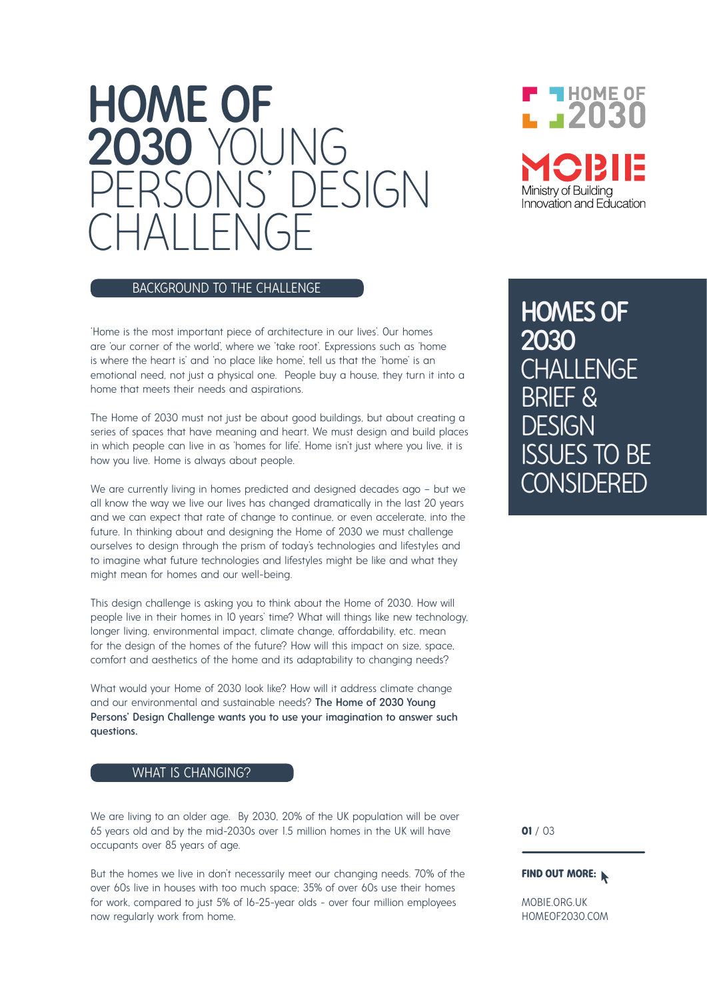# HOME OF 2030 Y  $PFSLAN$ CHALLENGE

## BACKGROUND TO THE CHALLENGE

'Home is the most important piece of architecture in our lives'. Our homes are 'our corner of the world', where we 'take root'. Expressions such as 'home is where the heart is' and 'no place like home', tell us that the 'home' is an emotional need, not just a physical one. People buy a house, they turn it into a home that meets their needs and aspirations.

The Home of 2030 must not just be about good buildings, but about creating a series of spaces that have meaning and heart. We must design and build places in which people can live in as 'homes for life'. Home isn't just where you live, it is how you live. Home is always about people.

We are currently living in homes predicted and designed decades ago – but we all know the way we live our lives has changed dramatically in the last 20 years and we can expect that rate of change to continue, or even accelerate, into the future. In thinking about and designing the Home of 2030 we must challenge ourselves to design through the prism of today's technologies and lifestyles and to imagine what future technologies and lifestyles might be like and what they might mean for homes and our well-being.

This design challenge is asking you to think about the Home of 2030. How will people live in their homes in 10 years' time? What will things like new technology, longer living, environmental impact, climate change, affordability, etc. mean for the design of the homes of the future? How will this impact on size, space, comfort and aesthetics of the home and its adaptability to changing needs?

What would your Home of 2030 look like? How will it address climate change and our environmental and sustainable needs? The Home of 2030 Young Persons' Design Challenge wants you to use your imagination to answer such questions.

#### WHAT IS CHANGING?

We are living to an older age. By 2030, 20% of the UK population will be over 65 years old and by the mid-2030s over 1.5 million homes in the UK will have occupants over 85 years of age.

But the homes we live in don't necessarily meet our changing needs. 70% of the over 60s live in houses with too much space; 35% of over 60s use their homes for work, compared to just 5% of 16-25-year olds - over four million employees now regularly work from home.

 $\blacksquare$  HOME OF L J2030 Ministry of Buildina Innovation and Education

HOMES OF 2030 **CHALLENGE** BRIEF & DESIGN ISSUES TO BE **ONSIDERED** 

**01** / 03

#### **FIND OUT MORE:**

MOBIE.ORG.UK HOMEOF2030.COM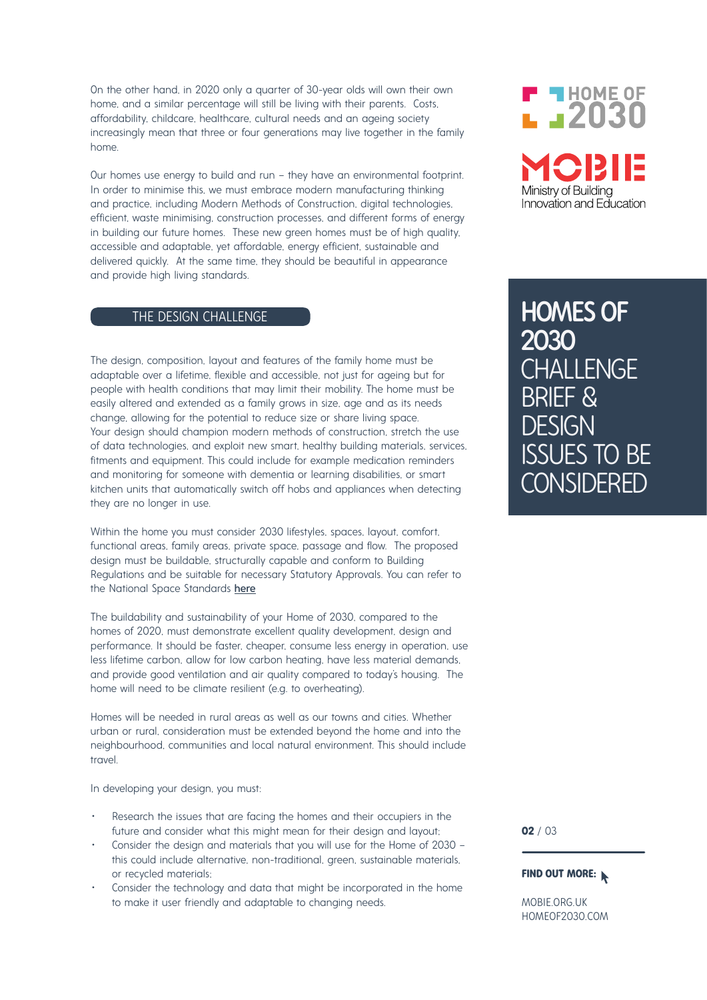On the other hand, in 2020 only a quarter of 30-year olds will own their own home, and a similar percentage will still be living with their parents. Costs, affordability, childcare, healthcare, cultural needs and an ageing society increasingly mean that three or four generations may live together in the family home.

Our homes use energy to build and run – they have an environmental footprint. In order to minimise this, we must embrace modern manufacturing thinking and practice, including Modern Methods of Construction, digital technologies, efficient, waste minimising, construction processes, and different forms of energy in building our future homes. These new green homes must be of high quality, accessible and adaptable, yet affordable, energy efficient, sustainable and delivered quickly. At the same time, they should be beautiful in appearance and provide high living standards.

#### THE DESIGN CHALLENGE

The design, composition, layout and features of the family home must be adaptable over a lifetime, flexible and accessible, not just for ageing but for people with health conditions that may limit their mobility. The home must be easily altered and extended as a family grows in size, age and as its needs change, allowing for the potential to reduce size or share living space. Your design should champion modern methods of construction, stretch the use of data technologies, and exploit new smart, healthy building materials, services, fitments and equipment. This could include for example medication reminders and monitoring for someone with dementia or learning disabilities, or smart kitchen units that automatically switch off hobs and appliances when detecting they are no longer in use.

Within the home you must consider 2030 lifestyles, spaces, layout, comfort, functional areas, family areas, private space, passage and flow. The proposed design must be buildable, structurally capable and conform to Building Regulations and be suitable for necessary Statutory Approvals. You can refer to the National Space Standards here

The buildability and sustainability of your Home of 2030, compared to the homes of 2020, must demonstrate excellent quality development, design and performance. It should be faster, cheaper, consume less energy in operation, use less lifetime carbon, allow for low carbon heating, have less material demands, and provide good ventilation and air quality compared to today's housing. The home will need to be climate resilient (e.g. to overheating).

Homes will be needed in rural areas as well as our towns and cities. Whether urban or rural, consideration must be extended beyond the home and into the neighbourhood, communities and local natural environment. This should include travel.

In developing your design, you must:

- Research the issues that are facing the homes and their occupiers in the future and consider what this might mean for their design and layout;
- Consider the design and materials that you will use for the Home of 2030 this could include alternative, non-traditional, green, sustainable materials, or recycled materials;
- Consider the technology and data that might be incorporated in the home to make it user friendly and adaptable to changing needs.



HOMES OF 2030 **CHALLENGE** BRIEF & **DESIGN** ISSUES TO BE **CONSIDERED** 

**02** / 03

#### **FIND OUT MORE:**

MOBIE.ORG.UK HOMEOF2030.COM